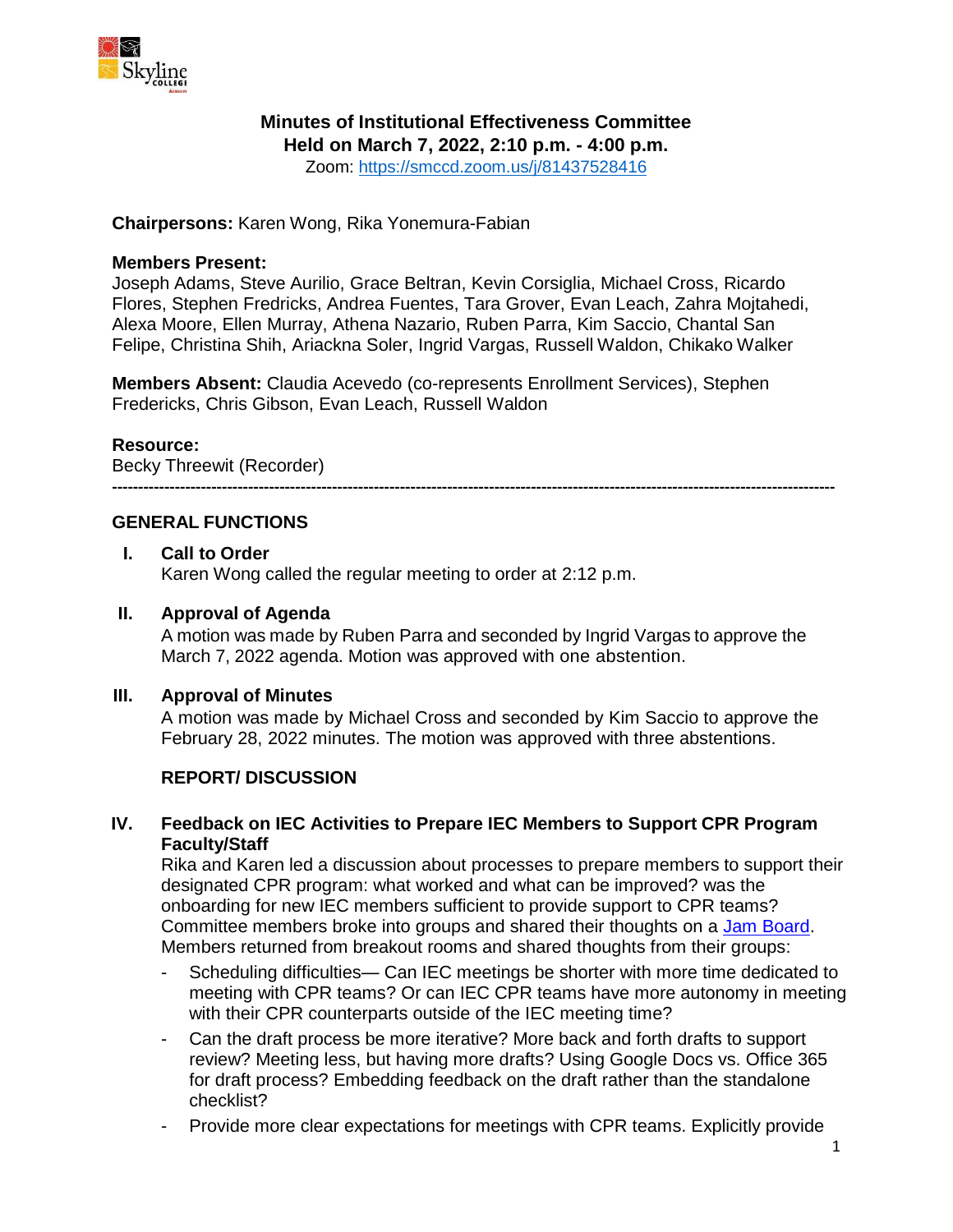

## **Minutes of Institutional Effectiveness Committee**

**Held on March 7, 2022, 2:10 p.m. - 4:00 p.m.**

Zoom: <https://smccd.zoom.us/j/81437528416>

**Chairpersons:** Karen Wong, Rika Yonemura-Fabian

#### **Members Present:**

Joseph Adams, Steve Aurilio, Grace Beltran, Kevin Corsiglia, Michael Cross, Ricardo Flores, Stephen Fredricks, Andrea Fuentes, Tara Grover, Evan Leach, Zahra Mojtahedi, Alexa Moore, Ellen Murray, Athena Nazario, Ruben Parra, Kim Saccio, Chantal San Felipe, Christina Shih, Ariackna Soler, Ingrid Vargas, Russell Waldon, Chikako Walker

**Members Absent:** Claudia Acevedo (co-represents Enrollment Services), Stephen Fredericks, Chris Gibson, Evan Leach, Russell Waldon

#### **Resource:**

Becky Threewit (Recorder)

**------------------------------------------------------------------------------------------------------------------------------------------**

## **GENERAL FUNCTIONS**

#### **I. Call to Order**

Karen Wong called the regular meeting to order at 2:12 p.m.

#### **II. Approval of Agenda**

A motion was made by Ruben Parra and seconded by Ingrid Vargas to approve the March 7, 2022 agenda. Motion was approved with one abstention.

#### **III. Approval of Minutes**

A motion was made by Michael Cross and seconded by Kim Saccio to approve the February 28, 2022 minutes. The motion was approved with three abstentions.

## **REPORT/ DISCUSSION**

## **IV. Feedback on IEC Activities to Prepare IEC Members to Support CPR Program Faculty/Staff**

Rika and Karen led a discussion about processes to prepare members to support their designated CPR program: what worked and what can be improved? was the onboarding for new IEC members sufficient to provide support to CPR teams? Committee members broke into groups and shared their thoughts on a [Jam Board.](https://skylinecollege.edu/iec/assets/agendas/2021-2022/sp22IEC_feedback_what%20part%20of%20the%20CPR%20can%20be%20improved.pdf) Members returned from breakout rooms and shared thoughts from their groups:

- Scheduling difficulties— Can IEC meetings be shorter with more time dedicated to meeting with CPR teams? Or can IEC CPR teams have more autonomy in meeting with their CPR counterparts outside of the IEC meeting time?
- Can the draft process be more iterative? More back and forth drafts to support review? Meeting less, but having more drafts? Using Google Docs vs. Office 365 for draft process? Embedding feedback on the draft rather than the standalone checklist?
- Provide more clear expectations for meetings with CPR teams. Explicitly provide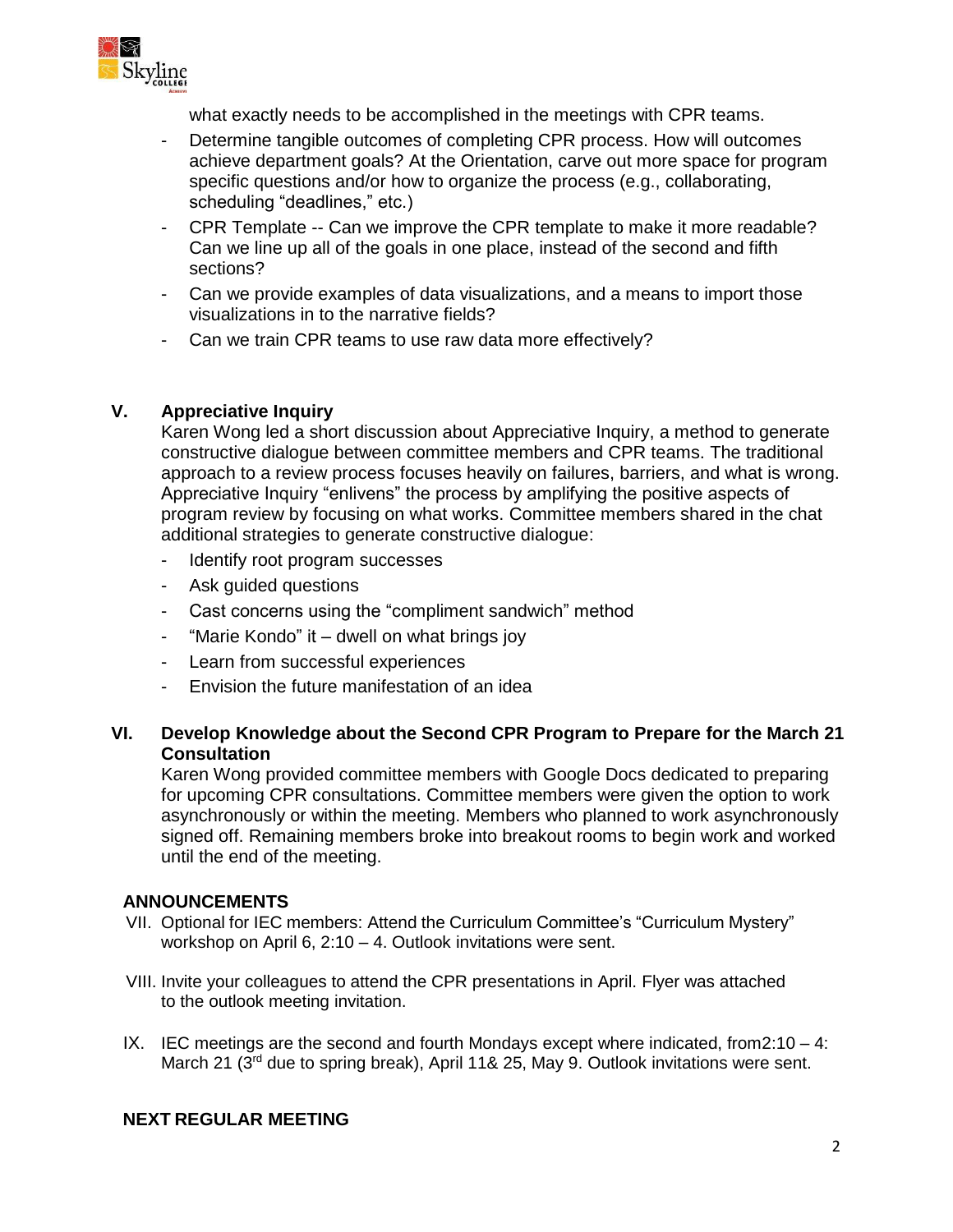

what exactly needs to be accomplished in the meetings with CPR teams.

- Determine tangible outcomes of completing CPR process. How will outcomes achieve department goals? At the Orientation, carve out more space for program specific questions and/or how to organize the process (e.g., collaborating, scheduling "deadlines," etc.)
- CPR Template -- Can we improve the CPR template to make it more readable? Can we line up all of the goals in one place, instead of the second and fifth sections?
- Can we provide examples of data visualizations, and a means to import those visualizations in to the narrative fields?
- Can we train CPR teams to use raw data more effectively?

## **V. Appreciative Inquiry**

Karen Wong led a short discussion about Appreciative Inquiry, a method to generate constructive dialogue between committee members and CPR teams. The traditional approach to a review process focuses heavily on failures, barriers, and what is wrong. Appreciative Inquiry "enlivens" the process by amplifying the positive aspects of program review by focusing on what works. Committee members shared in the chat additional strategies to generate constructive dialogue:

- Identify root program successes
- Ask guided questions
- Cast concerns using the "compliment sandwich" method
- "Marie Kondo" it dwell on what brings joy
- Learn from successful experiences
- Envision the future manifestation of an idea

## **VI. Develop Knowledge about the Second CPR Program to Prepare for the March 21 Consultation**

Karen Wong provided committee members with Google Docs dedicated to preparing for upcoming CPR consultations. Committee members were given the option to work asynchronously or within the meeting. Members who planned to work asynchronously signed off. Remaining members broke into breakout rooms to begin work and worked until the end of the meeting.

## **ANNOUNCEMENTS**

- VII. Optional for IEC members: Attend the Curriculum Committee's "Curriculum Mystery" workshop on April 6, 2:10 – 4. Outlook invitations were sent.
- VIII. Invite your colleagues to attend the CPR presentations in April. Flyer was attached to the outlook meeting invitation.
- IX. IEC meetings are the second and fourth Mondays except where indicated, from  $2:10 4$ : March 21 (3<sup>rd</sup> due to spring break), April 11& 25, May 9. Outlook invitations were sent.

## **NEXT REGULAR MEETING**